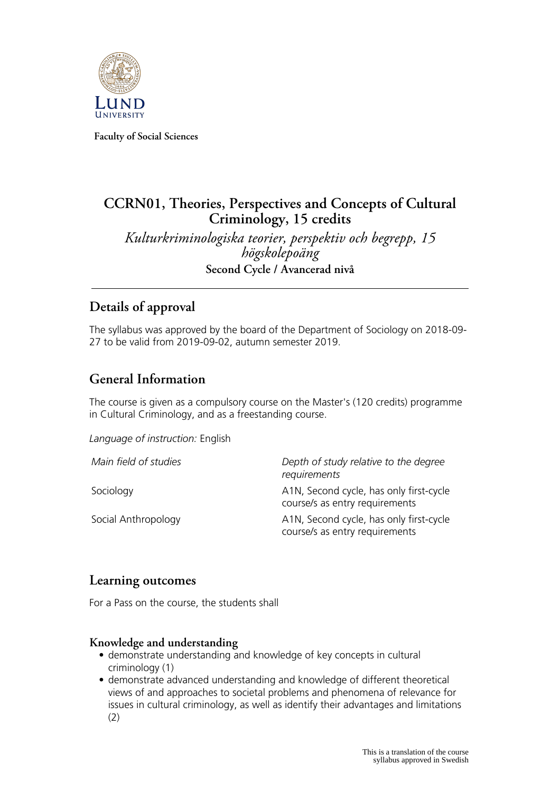

**Faculty of Social Sciences**

# **CCRN01, Theories, Perspectives and Concepts of Cultural Criminology, 15 credits**

*Kulturkriminologiska teorier, perspektiv och begrepp, 15 högskolepoäng* **Second Cycle / Avancerad nivå**

## **Details of approval**

The syllabus was approved by the board of the Department of Sociology on 2018-09- 27 to be valid from 2019-09-02, autumn semester 2019.

# **General Information**

The course is given as a compulsory course on the Master's (120 credits) programme in Cultural Criminology, and as a freestanding course.

*Language of instruction:* English

| Main field of studies | Depth of study relative to the degree<br>requirements                     |
|-----------------------|---------------------------------------------------------------------------|
| Sociology             | A1N, Second cycle, has only first-cycle<br>course/s as entry requirements |
| Social Anthropology   | A1N, Second cycle, has only first-cycle<br>course/s as entry requirements |

## **Learning outcomes**

For a Pass on the course, the students shall

#### **Knowledge and understanding**

- demonstrate understanding and knowledge of key concepts in cultural criminology (1)
- demonstrate advanced understanding and knowledge of different theoretical views of and approaches to societal problems and phenomena of relevance for issues in cultural criminology, as well as identify their advantages and limitations (2)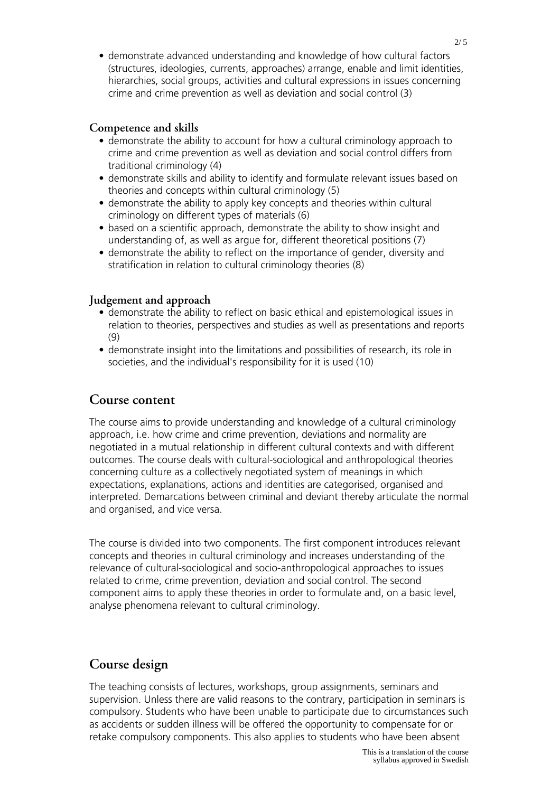• demonstrate advanced understanding and knowledge of how cultural factors (structures, ideologies, currents, approaches) arrange, enable and limit identities, hierarchies, social groups, activities and cultural expressions in issues concerning crime and crime prevention as well as deviation and social control (3)

#### **Competence and skills**

- demonstrate the ability to account for how a cultural criminology approach to crime and crime prevention as well as deviation and social control differs from traditional criminology (4)
- demonstrate skills and ability to identify and formulate relevant issues based on theories and concepts within cultural criminology (5)
- demonstrate the ability to apply key concepts and theories within cultural criminology on different types of materials (6)
- based on a scientific approach, demonstrate the ability to show insight and understanding of, as well as argue for, different theoretical positions (7)
- demonstrate the ability to reflect on the importance of gender, diversity and stratification in relation to cultural criminology theories (8)

#### **Judgement and approach**

- demonstrate the ability to reflect on basic ethical and epistemological issues in relation to theories, perspectives and studies as well as presentations and reports (9)
- demonstrate insight into the limitations and possibilities of research, its role in societies, and the individual's responsibility for it is used (10)

#### **Course content**

The course aims to provide understanding and knowledge of a cultural criminology approach, i.e. how crime and crime prevention, deviations and normality are negotiated in a mutual relationship in different cultural contexts and with different outcomes. The course deals with cultural-sociological and anthropological theories concerning culture as a collectively negotiated system of meanings in which expectations, explanations, actions and identities are categorised, organised and interpreted. Demarcations between criminal and deviant thereby articulate the normal and organised, and vice versa.

The course is divided into two components. The first component introduces relevant concepts and theories in cultural criminology and increases understanding of the relevance of cultural-sociological and socio-anthropological approaches to issues related to crime, crime prevention, deviation and social control. The second component aims to apply these theories in order to formulate and, on a basic level, analyse phenomena relevant to cultural criminology.

### **Course design**

The teaching consists of lectures, workshops, group assignments, seminars and supervision. Unless there are valid reasons to the contrary, participation in seminars is compulsory. Students who have been unable to participate due to circumstances such as accidents or sudden illness will be offered the opportunity to compensate for or retake compulsory components. This also applies to students who have been absent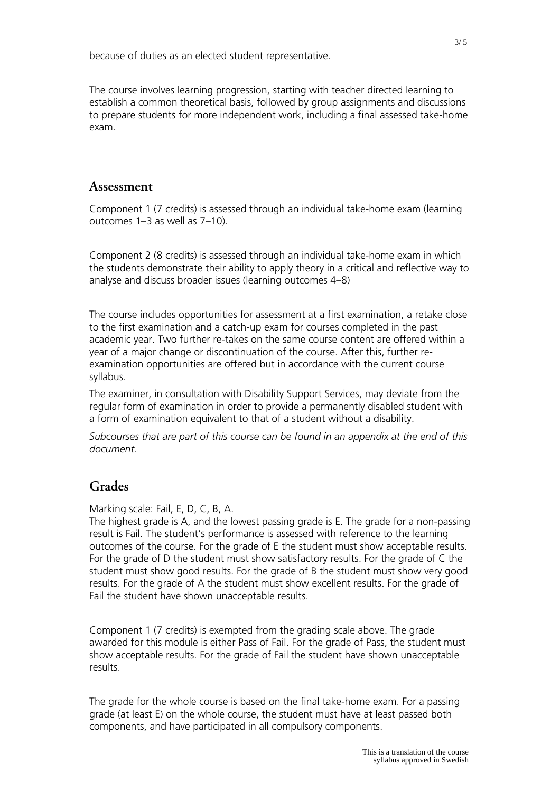because of duties as an elected student representative.

The course involves learning progression, starting with teacher directed learning to establish a common theoretical basis, followed by group assignments and discussions to prepare students for more independent work, including a final assessed take-home exam.

### **Assessment**

Component 1 (7 credits) is assessed through an individual take-home exam (learning outcomes 1–3 as well as 7–10).

Component 2 (8 credits) is assessed through an individual take-home exam in which the students demonstrate their ability to apply theory in a critical and reflective way to analyse and discuss broader issues (learning outcomes 4–8)

The course includes opportunities for assessment at a first examination, a retake close to the first examination and a catch-up exam for courses completed in the past academic year. Two further re-takes on the same course content are offered within a year of a major change or discontinuation of the course. After this, further reexamination opportunities are offered but in accordance with the current course syllabus.

The examiner, in consultation with Disability Support Services, may deviate from the regular form of examination in order to provide a permanently disabled student with a form of examination equivalent to that of a student without a disability.

*Subcourses that are part of this course can be found in an appendix at the end of this document.*

## **Grades**

Marking scale: Fail, E, D, C, B, A.

The highest grade is A, and the lowest passing grade is E. The grade for a non-passing result is Fail. The student's performance is assessed with reference to the learning outcomes of the course. For the grade of E the student must show acceptable results. For the grade of D the student must show satisfactory results. For the grade of C the student must show good results. For the grade of B the student must show very good results. For the grade of A the student must show excellent results. For the grade of Fail the student have shown unacceptable results.

Component 1 (7 credits) is exempted from the grading scale above. The grade awarded for this module is either Pass of Fail. For the grade of Pass, the student must show acceptable results. For the grade of Fail the student have shown unacceptable results.

The grade for the whole course is based on the final take-home exam. For a passing grade (at least E) on the whole course, the student must have at least passed both components, and have participated in all compulsory components.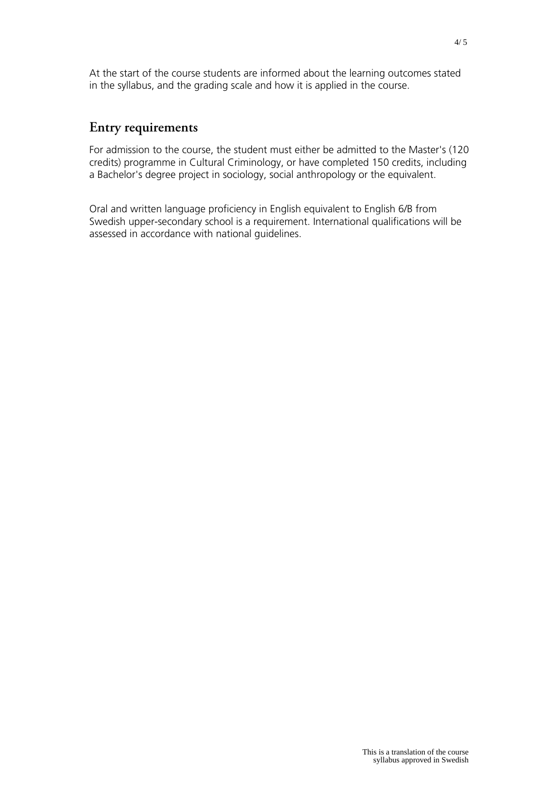At the start of the course students are informed about the learning outcomes stated in the syllabus, and the grading scale and how it is applied in the course.

## **Entry requirements**

For admission to the course, the student must either be admitted to the Master's (120 credits) programme in Cultural Criminology, or have completed 150 credits, including a Bachelor's degree project in sociology, social anthropology or the equivalent.

Oral and written language proficiency in English equivalent to English 6/B from Swedish upper-secondary school is a requirement. International qualifications will be assessed in accordance with national guidelines.